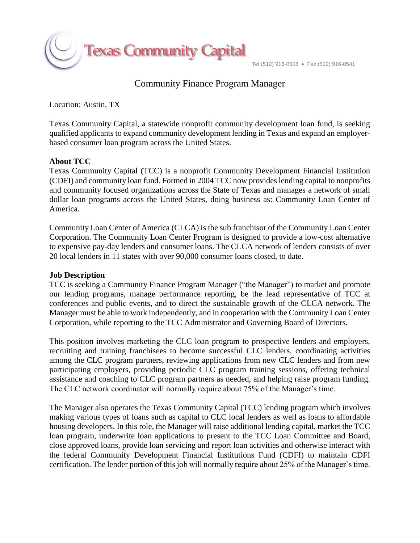

# Community Finance Program Manager

Location: Austin, TX

Texas Community Capital, a statewide nonprofit community development loan fund, is seeking qualified applicants to expand community development lending in Texas and expand an employerbased consumer loan program across the United States.

#### **About TCC**

Texas Community Capital (TCC) is a nonprofit Community Development Financial Institution (CDFI) and community loan fund. Formed in 2004 TCC now provides lending capital to nonprofits and community focused organizations across the State of Texas and manages a network of small dollar loan programs across the United States, doing business as: Community Loan Center of America.

Community Loan Center of America (CLCA) is the sub franchisor of the Community Loan Center Corporation. The Community Loan Center Program is designed to provide a low-cost alternative to expensive pay-day lenders and consumer loans. The CLCA network of lenders consists of over 20 local lenders in 11 states with over 90,000 consumer loans closed, to date.

#### **Job Description**

TCC is seeking a Community Finance Program Manager ("the Manager") to market and promote our lending programs, manage performance reporting, be the lead representative of TCC at conferences and public events, and to direct the sustainable growth of the CLCA network. The Manager must be able to work independently, and in cooperation with the Community Loan Center Corporation, while reporting to the TCC Administrator and Governing Board of Directors.

This position involves marketing the CLC loan program to prospective lenders and employers, recruiting and training franchisees to become successful CLC lenders, coordinating activities among the CLC program partners, reviewing applications from new CLC lenders and from new participating employers, providing periodic CLC program training sessions, offering technical assistance and coaching to CLC program partners as needed, and helping raise program funding. The CLC network coordinator will normally require about 75% of the Manager's time.

The Manager also operates the Texas Community Capital (TCC) lending program which involves making various types of loans such as capital to CLC local lenders as well as loans to affordable housing developers. In this role, the Manager will raise additional lending capital, market the TCC loan program, underwrite loan applications to present to the TCC Loan Committee and Board, close approved loans, provide loan servicing and report loan activities and otherwise interact with the federal Community Development Financial Institutions Fund (CDFI) to maintain CDFI certification. The lender portion of this job will normally require about 25% of the Manager's time.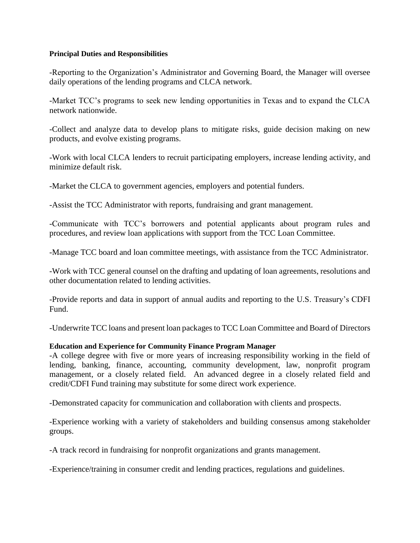#### **Principal Duties and Responsibilities**

-Reporting to the Organization's Administrator and Governing Board, the Manager will oversee daily operations of the lending programs and CLCA network.

-Market TCC's programs to seek new lending opportunities in Texas and to expand the CLCA network nationwide.

-Collect and analyze data to develop plans to mitigate risks, guide decision making on new products, and evolve existing programs.

-Work with local CLCA lenders to recruit participating employers, increase lending activity, and minimize default risk.

-Market the CLCA to government agencies, employers and potential funders.

-Assist the TCC Administrator with reports, fundraising and grant management.

-Communicate with TCC's borrowers and potential applicants about program rules and procedures, and review loan applications with support from the TCC Loan Committee.

-Manage TCC board and loan committee meetings, with assistance from the TCC Administrator.

-Work with TCC general counsel on the drafting and updating of loan agreements, resolutions and other documentation related to lending activities.

-Provide reports and data in support of annual audits and reporting to the U.S. Treasury's CDFI Fund.

-Underwrite TCC loans and present loan packages to TCC Loan Committee and Board of Directors

### **Education and Experience for Community Finance Program Manager**

-A college degree with five or more years of increasing responsibility working in the field of lending, banking, finance, accounting, community development, law, nonprofit program management, or a closely related field. An advanced degree in a closely related field and credit/CDFI Fund training may substitute for some direct work experience.

-Demonstrated capacity for communication and collaboration with clients and prospects.

-Experience working with a variety of stakeholders and building consensus among stakeholder groups.

-A track record in fundraising for nonprofit organizations and grants management.

-Experience/training in consumer credit and lending practices, regulations and guidelines.